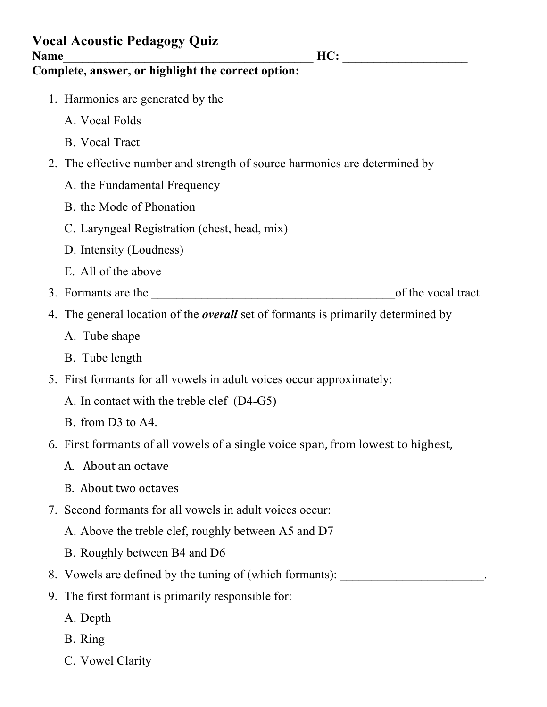| <b>Vocal Acoustic Pedagogy Quiz</b><br>HC:<br><b>Name</b><br>Complete, answer, or highlight the correct option: |                                                                                          |
|-----------------------------------------------------------------------------------------------------------------|------------------------------------------------------------------------------------------|
|                                                                                                                 |                                                                                          |
|                                                                                                                 | A. Vocal Folds                                                                           |
|                                                                                                                 | B. Vocal Tract                                                                           |
|                                                                                                                 | 2. The effective number and strength of source harmonics are determined by               |
|                                                                                                                 | A. the Fundamental Frequency                                                             |
|                                                                                                                 | B. the Mode of Phonation                                                                 |
|                                                                                                                 | C. Laryngeal Registration (chest, head, mix)                                             |
|                                                                                                                 | D. Intensity (Loudness)                                                                  |
|                                                                                                                 | E. All of the above                                                                      |
|                                                                                                                 | of the vocal tract.<br>3. Formants are the                                               |
|                                                                                                                 | 4. The general location of the <i>overall</i> set of formants is primarily determined by |
|                                                                                                                 | A. Tube shape                                                                            |
|                                                                                                                 | B. Tube length                                                                           |
|                                                                                                                 | 5. First formants for all vowels in adult voices occur approximately:                    |
|                                                                                                                 | A. In contact with the treble clef (D4-G5)                                               |
|                                                                                                                 | B. from D3 to A4.                                                                        |
|                                                                                                                 | 6. First formants of all vowels of a single voice span, from lowest to highest,          |
|                                                                                                                 | A. About an octave                                                                       |
|                                                                                                                 | B. About two octaves                                                                     |
|                                                                                                                 | 7. Second formants for all vowels in adult voices occur:                                 |
|                                                                                                                 | A. Above the treble clef, roughly between A5 and D7                                      |
|                                                                                                                 | B. Roughly between B4 and D6                                                             |
|                                                                                                                 | 8. Vowels are defined by the tuning of (which formants): _______________________         |
| 9.                                                                                                              | The first formant is primarily responsible for:                                          |
|                                                                                                                 | A. Depth                                                                                 |
|                                                                                                                 | B. Ring                                                                                  |

C. Vowel Clarity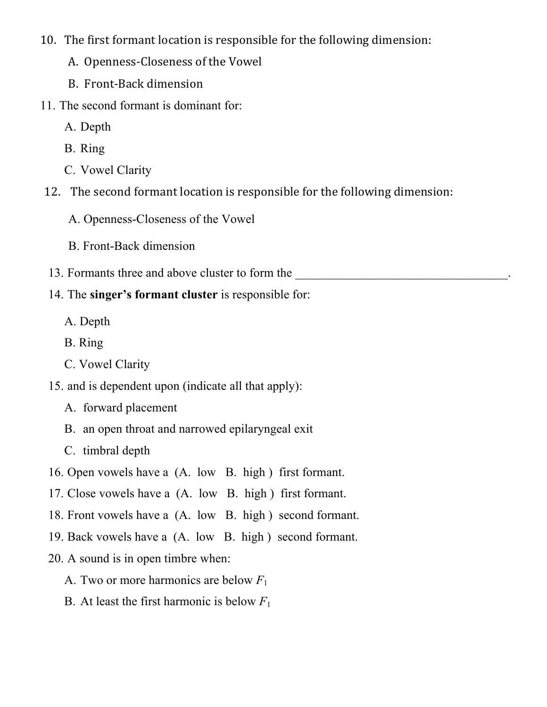- 10. The first formant location is responsible for the following dimension:
	- A. Openness-Closeness of the Vowel
	- B. Front-Back dimension
- 11. The second formant is dominant for:
	- A. Depth
	- B. Ring
	- C. Vowel Clarity
- 12. The second formant location is responsible for the following dimension:
	- A. Openness-Closeness of the Vowel
	- B. Front-Back dimension
- 13. Formants three and above cluster to form the
- 14. The **singer's formant cluster** is responsible for:
	- A. Depth
	- B. Ring
	- C. Vowel Clarity
- 15. and is dependent upon (indicate all that apply):
	- A. forward placement
	- B. an open throat and narrowed epilaryngeal exit
	- C. timbral depth
- 16. Open vowels have a (A. low B. high ) first formant.
- 17. Close vowels have a (A. low B. high ) first formant.
- 18. Front vowels have a (A. low B. high ) second formant.
- 19. Back vowels have a (A. low B. high ) second formant.
- 20. A sound is in open timbre when:
	- A. Two or more harmonics are below *F*<sup>1</sup>
	- B. At least the first harmonic is below  $F_1$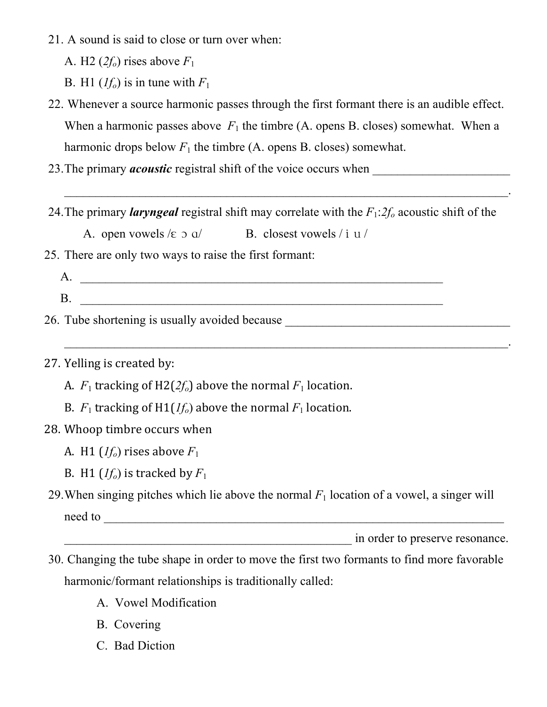- 21. A sound is said to close or turn over when:
	- A. H2  $(2f<sub>o</sub>)$  rises above  $F<sub>1</sub>$
	- B. H1  $(If_0)$  is in tune with  $F_1$
- 22. Whenever a source harmonic passes through the first formant there is an audible effect. When a harmonic passes above  $F_1$  the timbre (A. opens B. closes) somewhat. When a harmonic drops below  $F_1$  the timbre (A. opens B. closes) somewhat.
- 23.The primary *acoustic* registral shift of the voice occurs when \_\_\_\_\_\_\_\_\_\_\_\_\_\_\_\_\_\_\_\_\_\_
- 24.The primary *laryngeal* registral shift may correlate with the *F*1:*2fo* acoustic shift of the

 $\mathcal{L}_\text{max}$  and  $\mathcal{L}_\text{max}$  and  $\mathcal{L}_\text{max}$  and  $\mathcal{L}_\text{max}$  and  $\mathcal{L}_\text{max}$  and  $\mathcal{L}_\text{max}$ 

 $\mathcal{L}_\text{max}$  , and the contract of the contract of the contract of the contract of the contract of the contract of the contract of the contract of the contract of the contract of the contract of the contract of the contr

- A. open vowels  $\ell \in \mathfrak{D}$  a  $\ell$  B. closest vowels  $\ell$  i u  $\ell$
- 25. There are only two ways to raise the first formant:
	- A. \_\_\_\_\_\_\_\_\_\_\_\_\_\_\_\_\_\_\_\_\_\_\_\_\_\_\_\_\_\_\_\_\_\_\_\_\_\_\_\_\_\_\_\_\_\_\_\_\_\_\_\_\_\_\_\_\_\_ B. \_\_\_\_\_\_\_\_\_\_\_\_\_\_\_\_\_\_\_\_\_\_\_\_\_\_\_\_\_\_\_\_\_\_\_\_\_\_\_\_\_\_\_\_\_\_\_\_\_\_\_\_\_\_\_\_\_\_
- 26. Tube shortening is usually avoided because
- 27. Yelling is created by:
	- A.  $F_1$  tracking of H2( $2f_0$ ) above the normal  $F_1$  location.
	- B.  $F_1$  tracking of H1( $If_0$ ) above the normal  $F_1$  location.
- 28. Whoop timbre occurs when
	- A. H1 ( $If<sub>o</sub>$ ) rises above  $F<sub>1</sub>$
	- B. H1 ( $If<sub>o</sub>$ ) is tracked by  $F<sub>1</sub>$
- 29. When singing pitches which lie above the normal  $F_1$  location of a vowel, a singer will need to
	- expressed in order to preserve resonance.
- 30. Changing the tube shape in order to move the first two formants to find more favorable harmonic/formant relationships is traditionally called:
	- A. Vowel Modification
	- B. Covering
	- C. Bad Diction